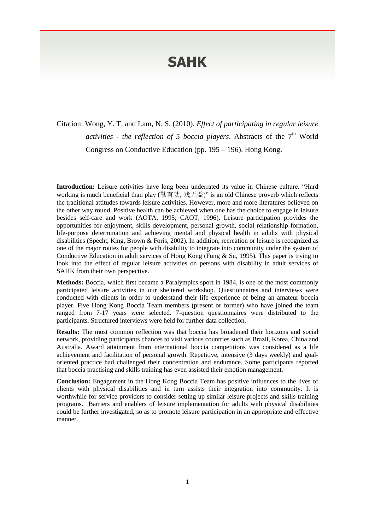## **SAHK**

Citation: Wong, Y. T. and Lam, N. S. (2010). *Effect of participating in regular leisure*  activities - the reflection of 5 boccia players. Abstracts of the 7<sup>th</sup> World Congress on Conductive Education (pp. 195 – 196). Hong Kong.

**Introduction:** Leisure activities have long been underrated its value in Chinese culture. "Hard working is much beneficial than play (勤有功, 戏无益)" is an old Chinese proverb which reflects the traditional attitudes towards leisure activities. However, more and more literatures believed on the other way round. Positive health can be achieved when one has the choice to engage in leisure besides self-care and work (AOTA, 1995; CAOT, 1996). Leisure participation provides the opportunities for enjoyment, skills development, personal growth, social relationship formation, life-purpose determination and achieving mental and physical health in adults with physical disabilities (Specht, King, Brown & Foris, 2002). In addition, recreation or leisure is recognized as one of the major routes for people with disability to integrate into community under the system of Conductive Education in adult services of Hong Kong (Fung & Su, 1995). This paper is trying to look into the effect of regular leisure activities on persons with disability in adult services of SAHK from their own perspective.

**Methods:** Boccia, which first became a Paralympics sport in 1984, is one of the most commonly participated leisure activities in our sheltered workshop. Questionnaires and interviews were conducted with clients in order to understand their life experience of being an amateur boccia player. Five Hong Kong Boccia Team members (present or former) who have joined the team ranged from 7-17 years were selected. 7-question questionnaires were distributed to the participants. Structured interviews were held for further data collection.

**Results:** The most common reflection was that boccia has broadened their horizons and social network, providing participants chances to visit various countries such as Brazil, Korea, China and Australia. Award attainment from international boccia competitions was considered as a life achievement and facilitation of personal growth. Repetitive, intensive (3 days weekly) and goaloriented practice had challenged their concentration and endurance. Some participants reported that boccia practising and skills training has even assisted their emotion management.

**Conclusion:** Engagement in the Hong Kong Boccia Team has positive influences to the lives of clients with physical disabilities and in turn assists their integration into community. It is worthwhile for service providers to consider setting up similar leisure projects and skills training programs. Barriers and enablers of leisure implementation for adults with physical disabilities could be further investigated, so as to promote leisure participation in an appropriate and effective manner.